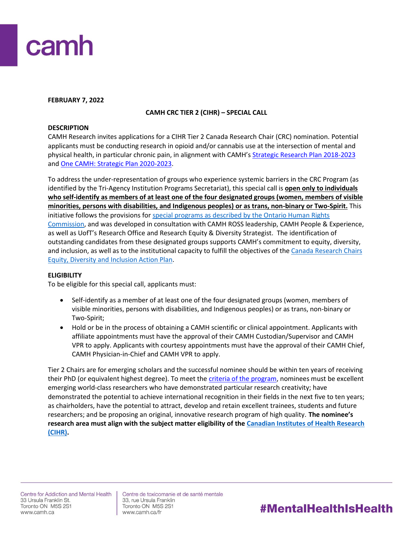

## **FEBRUARY 7, 2022**

## **CAMH CRC TIER 2 (CIHR) – SPECIAL CALL**

## **DESCRIPTION**

CAMH Research invites applications for a CIHR Tier 2 Canada Research Chair (CRC) nomination. Potential applicants must be conducting research in opioid and/or cannabis use at the intersection of mental and physical health, in particular chronic pain, in alignment with CAMH's [Strategic Research Plan 2018-2023](http://www.camhx.ca/Publications/CAMHResearchPlan/index.html) and [One CAMH: Strategic Plan 2020-2023.](https://www.camh.ca/en/driving-change/about-camh/one-camh-strategic-plan-2020-2023)

To address the under-representation of groups who experience systemic barriers in the CRC Program (as identified by the Tri-Agency Institution Programs Secretariat), this special call is **open only to individuals who self-identify as members of at least one of the four designated groups (women, members of visible minorities, persons with disabilities, and Indigenous peoples) or as trans, non-binary or Two-Spirit.** This initiative follows the provisions for [special programs as described by the Ontario Human Rights](http://www.ohrc.on.ca/en/your-guide-special-programs-and-human-rights-code)  [Commission,](http://www.ohrc.on.ca/en/your-guide-special-programs-and-human-rights-code) and was developed in consultation with CAMH ROSS leadership, CAMH People & Experience, as well as UofT's Research Office and Research Equity & Diversity Strategist. The identification of outstanding candidates from these designated groups supports CAMH's commitment to equity, diversity, and inclusion, as well as to the institutional capacity to fulfill the objectives of the [Canada Research Chairs](https://www.camh.ca/en/science-and-research/science-and-research-staff-directory/research-chairs)  [Equity, Diversity and Inclusion Action Plan.](https://www.camh.ca/en/science-and-research/science-and-research-staff-directory/research-chairs)

## **ELIGIBILITY**

To be eligible for this special call, applicants must:

- Self-identify as a member of at least one of the four designated groups (women, members of visible minorities, persons with disabilities, and Indigenous peoples) or as trans, non-binary or Two-Spirit;
- Hold or be in the process of obtaining a CAMH scientific or clinical appointment. Applicants with affiliate appointments must have the approval of their CAMH Custodian/Supervisor and CAMH VPR to apply. Applicants with courtesy appointments must have the approval of their CAMH Chief, CAMH Physician-in-Chief and CAMH VPR to apply.

Tier 2 Chairs are for emerging scholars and the successful nominee should be within ten years of receiving their PhD (or equivalent highest degree). To meet the *criteria of the program*, nominees must be excellent emerging world-class researchers who have demonstrated particular research creativity; have demonstrated the potential to achieve international recognition in their fields in the next five to ten years; as chairholders, have the potential to attract, develop and retain excellent trainees, students and future researchers; and be proposing an original, innovative research program of high quality. **The nominee's research area must align with the subject matter eligibility of the [Canadian Institutes of Health Research](https://cihr-irsc.gc.ca/e/193.html)  [\(CIHR\).](https://cihr-irsc.gc.ca/e/193.html)**

Centre de toxicomanie et de santé mentale 33, rue Ursula Franklin Toronto ON M5S 2S1 www.camh.ca/fr

# #MentalHealthIsHealth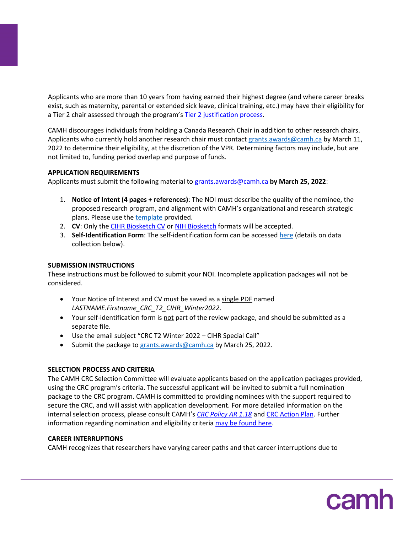Applicants who are more than 10 years from having earned their highest degree (and where career breaks exist, such as maternity, parental or extended sick leave, clinical training, etc.) may have their eligibility for a Tier 2 chair assessed through the program's [Tier 2 justification process.](http://www.chairs-chaires.gc.ca/program-programme/nomination-mise_en_candidature-eng.aspx#s3)

CAMH discourages individuals from holding a Canada Research Chair in addition to other research chairs. Applicants who currently hold another research chair must contact [grants.awards@camh.ca](mailto:grants.awards@camh.ca) by March 11, 2022 to determine their eligibility, at the discretion of the VPR. Determining factors may include, but are not limited to, funding period overlap and purpose of funds.

## **APPLICATION REQUIREMENTS**

Applicants must submit the following material t[o grants.awards@camh.ca](mailto:grants.awards@camh.ca?subject=CRC%20T2%20Fall%202021%20-%20Special%20Call) **by March 25, 2022**:

- 1. **Notice of Intent (4 pages + references)**: The NOI must describe the quality of the nominee, the proposed research program, and alignment with CAMH's organizational and research strategic plans. Please use th[e template](http://ishare.camh.ca/sites/RSO/services/grants/Documents/Grants%20-%20CRC%20T2_NOI%20Template_FINAL.docx) provided.
- 2. **CV:** Only the [CIHR Biosketch CV](https://cihr-irsc.gc.ca/e/48437.html) o[r NIH Biosketch](https://grants.nih.gov/grants/forms/biosketch.htm) formats will be accepted.
- 3. **Self-Identification Form**: The self-identification form can be accessed [here](http://ishare.camh.ca/sites/RSO/services/grants/Documents/Grants%20-%20CRC_Self-Identification%20Form_Winter2022_FINAL.docx) (details on data collection below).

## **SUBMISSION INSTRUCTIONS**

These instructions must be followed to submit your NOI. Incomplete application packages will not be considered.

- Your Notice of Interest and CV must be saved as a single PDF named *LASTNAME.Firstname\_CRC\_T2\_CIHR\_Winter2022*.
- Your self-identification form is not part of the review package, and should be submitted as a separate file.
- Use the email subject "CRC T2 Winter 2022 CIHR Special Call"
- Submit the package t[o grants.awards@camh.ca](mailto:grants.awards@camh.ca?subject=CRC%20T2%20Fall%202021%20-%20Special%20Call) by March 25, 2022.

# **SELECTION PROCESS AND CRITERIA**

The CAMH CRC Selection Committee will evaluate applicants based on the application packages provided, using the CRC program's criteria. The successful applicant will be invited to submit a full nomination package to the CRC program. CAMH is committed to providing nominees with the support required to secure the CRC, and will assist with application development. For more detailed information on the internal selection process, please consult CAMH's *[CRC Policy AR 1.18](http://ishare.camh.ca/sites/RSO/policies-sops/Documents/Policies/AR-1.18-Canada-Research-Chair.pdf)* and [CRC Action Plan.](https://www.camh.ca/en/science-and-research/science-and-research-staff-directory/research-chairs) Further information regarding nomination and eligibility criteria [may be found here.](http://www.chairs-chaires.gc.ca/program-programme/nomination-mise_en_candidature-eng.aspx)

# **CAREER INTERRUPTIONS**

CAMH recognizes that researchers have varying career paths and that career interruptions due to